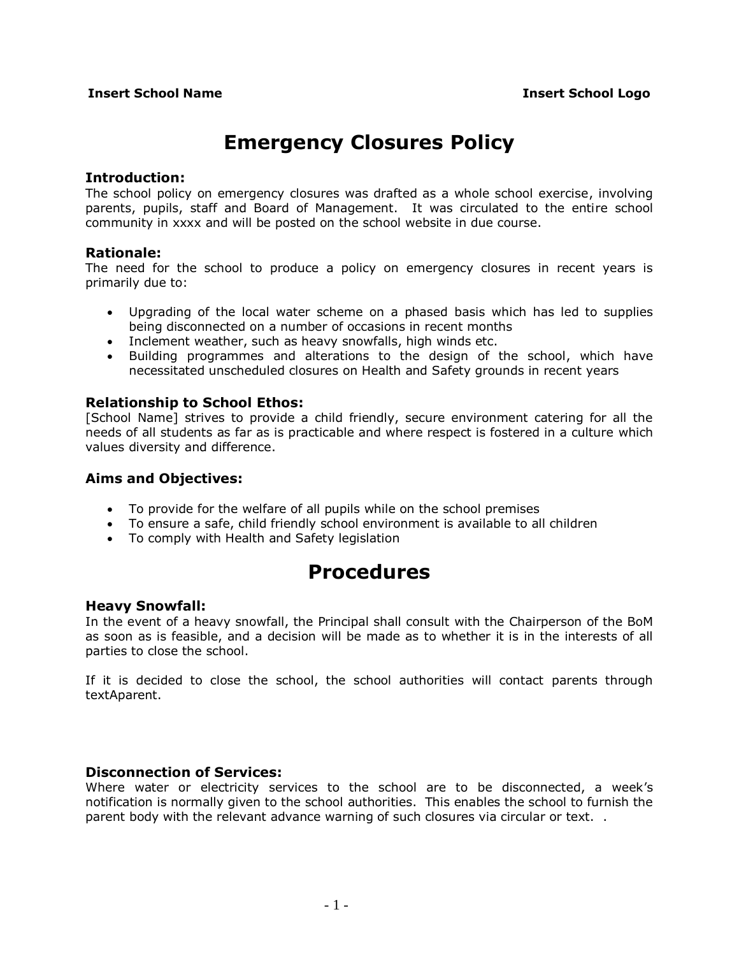# **Emergency Closures Policy**

#### **Introduction:**

The school policy on emergency closures was drafted as a whole school exercise, involving parents, pupils, staff and Board of Management. It was circulated to the entire school community in xxxx and will be posted on the school website in due course.

### **Rationale:**

The need for the school to produce a policy on emergency closures in recent years is primarily due to:

- Upgrading of the local water scheme on a phased basis which has led to supplies being disconnected on a number of occasions in recent months
- Inclement weather, such as heavy snowfalls, high winds etc.
- Building programmes and alterations to the design of the school, which have necessitated unscheduled closures on Health and Safety grounds in recent years

### **Relationship to School Ethos:**

[School Name] strives to provide a child friendly, secure environment catering for all the needs of all students as far as is practicable and where respect is fostered in a culture which values diversity and difference.

#### **Aims and Objectives:**

- To provide for the welfare of all pupils while on the school premises
- To ensure a safe, child friendly school environment is available to all children
- To comply with Health and Safety legislation

# **Procedures**

### **Heavy Snowfall:**

In the event of a heavy snowfall, the Principal shall consult with the Chairperson of the BoM as soon as is feasible, and a decision will be made as to whether it is in the interests of all parties to close the school.

If it is decided to close the school, the school authorities will contact parents through textAparent.

### **Disconnection of Services:**

Where water or electricity services to the school are to be disconnected, a week's notification is normally given to the school authorities. This enables the school to furnish the parent body with the relevant advance warning of such closures via circular or text. .